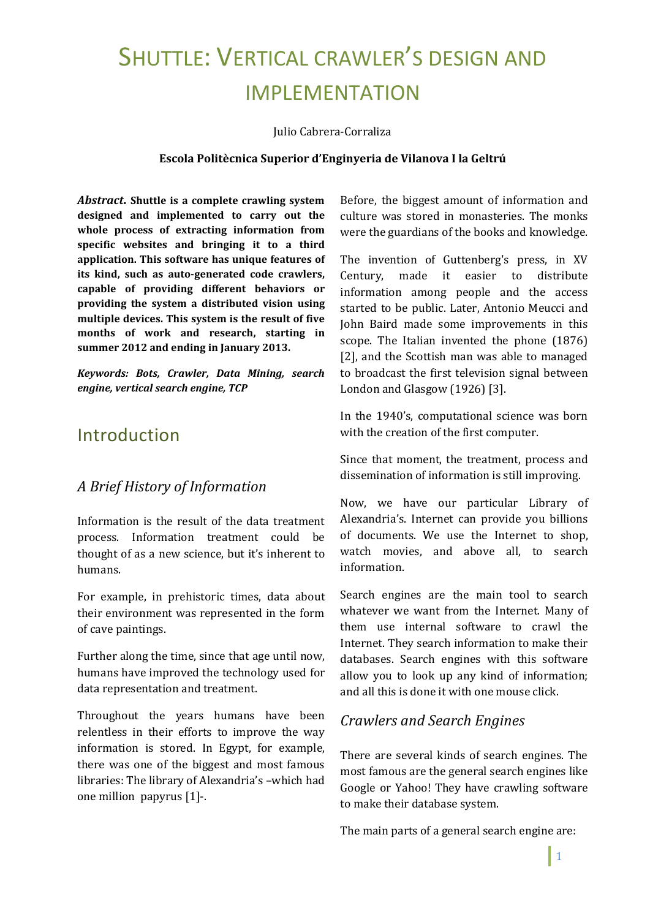# SHUTTLE: VERTICAL CRAWLER'S DESIGN AND IMPLEMENTATION

Julio Cabrera-Corraliza

#### **Escola Politècnica Superior d'Enginyeria de Vilanova I la Geltrú**

*Abstract***. Shuttle is a complete crawling system designed and implemented to carry out the whole process of extracting information from specific websites and bringing it to a third application. This software has unique features of its kind, such as auto-generated code crawlers, capable of providing different behaviors or providing the system a distributed vision using multiple devices. This system is the result of five months of work and research, starting in summer 2012 and ending in January 2013.**

*Keywords: Bots, Crawler, Data Mining, search engine, vertical search engine, TCP*

## Introduction

#### *A Brief History of Information*

Information is the result of the data treatment process. Information treatment could be thought of as a new science, but it's inherent to humans.

For example, in prehistoric times, data about their environment was represented in the form of cave paintings.

Further along the time, since that age until now, humans have improved the technology used for data representation and treatment.

Throughout the years humans have been relentless in their efforts to improve the way information is stored. In Egypt, for example, there was one of the biggest and most famous libraries: The library of Alexandria's –which had one million papyrus [1]-.

Before, the biggest amount of information and culture was stored in monasteries. The monks were the guardians of the books and knowledge.

The invention of Guttenberg's press, in XV Century, made it easier to distribute information among people and the access started to be public. Later, Antonio Meucci and John Baird made some improvements in this scope. The Italian invented the phone (1876) [2], and the Scottish man was able to managed to broadcast the first television signal between London and Glasgow (1926) [3].

In the 1940's, computational science was born with the creation of the first computer.

Since that moment, the treatment, process and dissemination of information is still improving.

Now, we have our particular Library of Alexandria's. Internet can provide you billions of documents. We use the Internet to shop, watch movies, and above all, to search information.

Search engines are the main tool to search whatever we want from the Internet. Many of them use internal software to crawl the Internet. They search information to make their databases. Search engines with this software allow you to look up any kind of information; and all this is done it with one mouse click.

### *Crawlers and Search Engines*

There are several kinds of search engines. The most famous are the general search engines like Google or Yahoo! They have crawling software to make their database system.

The main parts of a general search engine are: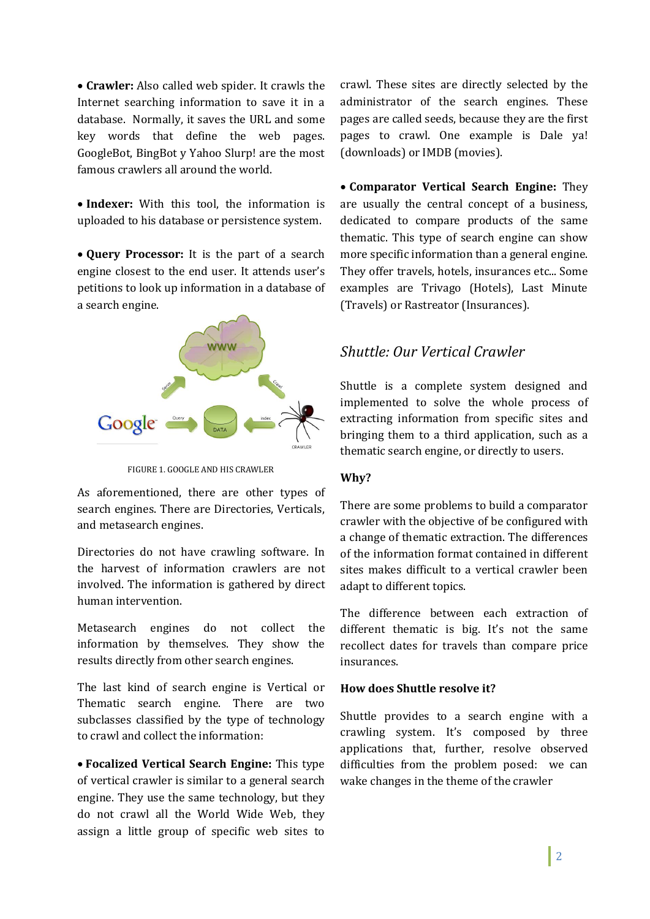**Crawler:** Also called web spider. It crawls the Internet searching information to save it in a database. Normally, it saves the URL and some key words that define the web pages. GoogleBot, BingBot y Yahoo Slurp! are the most famous crawlers all around the world.

 **Indexer:** With this tool, the information is uploaded to his database or persistence system.

 **Query Processor:** It is the part of a search engine closest to the end user. It attends user's petitions to look up information in a database of a search engine.



FIGURE 1. GOOGLE AND HIS CRAWLER

As aforementioned, there are other types of search engines. There are Directories, Verticals, and metasearch engines.

Directories do not have crawling software. In the harvest of information crawlers are not involved. The information is gathered by direct human intervention.

Metasearch engines do not collect the information by themselves. They show the results directly from other search engines.

The last kind of search engine is Vertical or Thematic search engine. There are two subclasses classified by the type of technology to crawl and collect the information:

 **Focalized Vertical Search Engine:** This type of vertical crawler is similar to a general search engine. They use the same technology, but they do not crawl all the World Wide Web, they assign a little group of specific web sites to

crawl. These sites are directly selected by the administrator of the search engines. These pages are called seeds, because they are the first pages to crawl. One example is Dale ya! (downloads) or IMDB (movies).

 **Comparator Vertical Search Engine:** They are usually the central concept of a business, dedicated to compare products of the same thematic. This type of search engine can show more specific information than a general engine. They offer travels, hotels, insurances etc... Some examples are Trivago (Hotels), Last Minute (Travels) or Rastreator (Insurances).

### *Shuttle: Our Vertical Crawler*

Shuttle is a complete system designed and implemented to solve the whole process of extracting information from specific sites and bringing them to a third application, such as a thematic search engine, or directly to users.

#### **Why?**

There are some problems to build a comparator crawler with the objective of be configured with a change of thematic extraction. The differences of the information format contained in different sites makes difficult to a vertical crawler been adapt to different topics.

The difference between each extraction of different thematic is big. It's not the same recollect dates for travels than compare price insurances.

#### **How does Shuttle resolve it?**

Shuttle provides to a search engine with a crawling system. It's composed by three applications that, further, resolve observed difficulties from the problem posed: we can wake changes in the theme of the crawler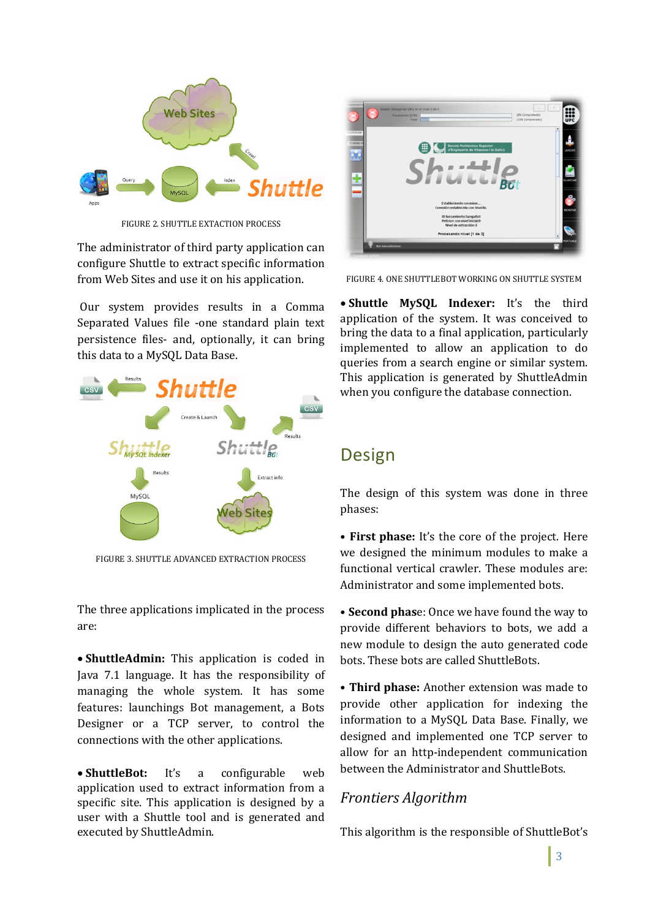

FIGURE 2. SHUTTLE EXTACTION PROCESS

The administrator of third party application can configure Shuttle to extract specific information from Web Sites and use it on his application.

Our system provides results in a Comma Separated Values file -one standard plain text persistence files- and, optionally, it can bring this data to a MySQL Data Base.



FIGURE 3. SHUTTLE ADVANCED EXTRACTION PROCESS

The three applications implicated in the process are:

 **ShuttleAdmin:** This application is coded in Java 7.1 language. It has the responsibility of managing the whole system. It has some features: launchings Bot management, a Bots Designer or a TCP server, to control the connections with the other applications.

 **ShuttleBot:** It's a configurable web application used to extract information from a specific site. This application is designed by a user with a Shuttle tool and is generated and executed by ShuttleAdmin.



FIGURE 4. ONE SHUTTLEBOT WORKING ON SHUTTLE SYSTEM

 **Shuttle MySQL Indexer:** It's the third application of the system. It was conceived to bring the data to a final application, particularly implemented to allow an application to do queries from a search engine or similar system. This application is generated by ShuttleAdmin when you configure the database connection.

# Design

The design of this system was done in three phases:

• **First phase:** It's the core of the project. Here we designed the minimum modules to make a functional vertical crawler. These modules are: Administrator and some implemented bots.

• **Second phas**e: Once we have found the way to provide different behaviors to bots, we add a new module to design the auto generated code bots. These bots are called ShuttleBots.

• **Third phase:** Another extension was made to provide other application for indexing the information to a MySQL Data Base. Finally, we designed and implemented one TCP server to allow for an http-independent communication between the Administrator and ShuttleBots.

## *Frontiers Algorithm*

This algorithm is the responsible of ShuttleBot's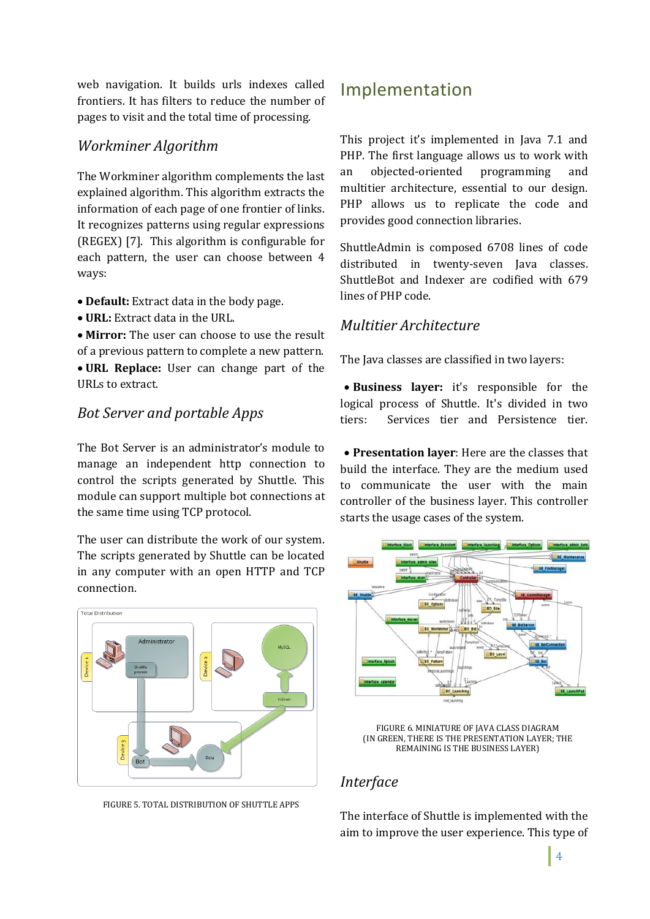web navigation. It builds urls indexes called frontiers. It has filters to reduce the number of pages to visit and the total time of processing.

#### *Workminer Algorithm*

The Workminer algorithm complements the last explained algorithm. This algorithm extracts the information of each page of one frontier of links. It recognizes patterns using regular expressions (REGEX) [7]. This algorithm is configurable for each pattern, the user can choose between 4 ways:

- **Default:** Extract data in the body page.
- **URL:** Extract data in the URL.

 **Mirror:** The user can choose to use the result of a previous pattern to complete a new pattern. **URL Replace:** User can change part of the URLs to extract.

#### *Bot Server and portable Apps*

The Bot Server is an administrator's module to manage an independent http connection to control the scripts generated by Shuttle. This module can support multiple bot connections at the same time using TCP protocol.

The user can distribute the work of our system. The scripts generated by Shuttle can be located in any computer with an open HTTP and TCP connection.



FIGURE 5. TOTAL DISTRIBUTION OF SHUTTLE APPS

# Implementation

This project it's implemented in Java 7.1 and PHP. The first language allows us to work with an objected-oriented programming and multitier architecture, essential to our design. PHP allows us to replicate the code and provides good connection libraries.

ShuttleAdmin is composed 6708 lines of code distributed in twenty-seven Java classes. ShuttleBot and Indexer are codified with 679 lines of PHP code.

#### *Multitier Architecture*

The Java classes are classified in two layers:

 **Business layer:** it's responsible for the logical process of Shuttle. It's divided in two tiers: Services tier and Persistence tier.

 **Presentation layer**: Here are the classes that build the interface. They are the medium used to communicate the user with the main controller of the business layer. This controller starts the usage cases of the system.



FIGURE 6. MINIATURE OF JAVA CLASS DIAGRAM (IN GREEN, THERE IS THE PRESENTATION LAYER; THE REMAINING IS THE BUSINESS LAYER)

### *Interface*

The interface of Shuttle is implemented with the aim to improve the user experience. This type of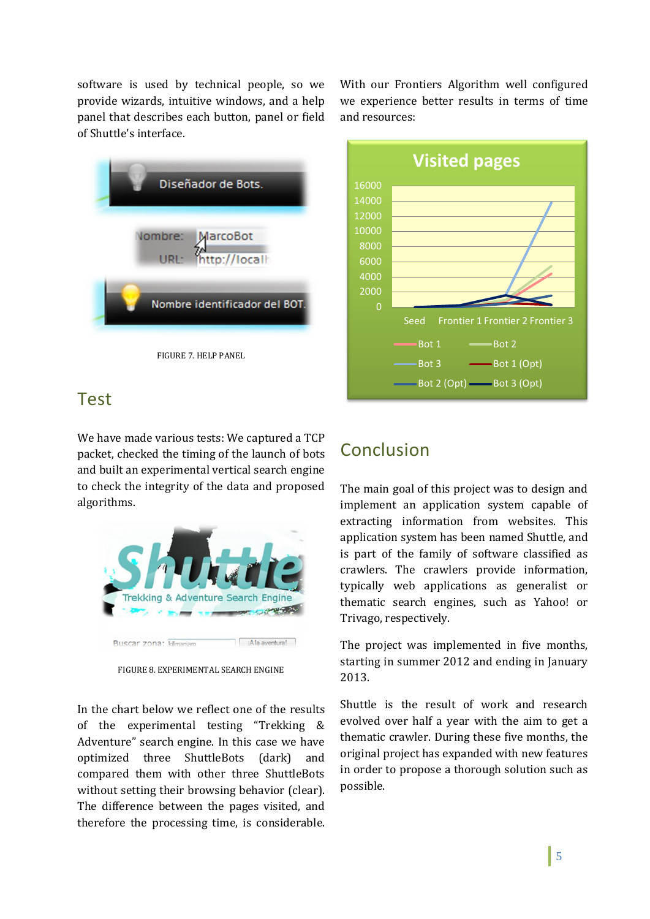software is used by technical people, so we provide wizards, intuitive windows, and a help panel that describes each button, panel or field of Shuttle's interface.



Test

We have made various tests: We captured a TCP packet, checked the timing of the launch of bots and built an experimental vertical search engine to check the integrity of the data and proposed algorithms.



FIGURE 8. EXPERIMENTAL SEARCH ENGINE

In the chart below we reflect one of the results of the experimental testing "Trekking & Adventure" search engine. In this case we have optimized three ShuttleBots (dark) and compared them with other three ShuttleBots without setting their browsing behavior (clear). The difference between the pages visited, and therefore the processing time, is considerable.

With our Frontiers Algorithm well configured we experience better results in terms of time and resources:



# Conclusion

The main goal of this project was to design and implement an application system capable of extracting information from websites. This application system has been named Shuttle, and is part of the family of software classified as crawlers. The crawlers provide information, typically web applications as generalist or thematic search engines, such as Yahoo! or Trivago, respectively.

The project was implemented in five months, starting in summer 2012 and ending in January 2013.

Shuttle is the result of work and research evolved over half a year with the aim to get a thematic crawler. During these five months, the original project has expanded with new features in order to propose a thorough solution such as possible.